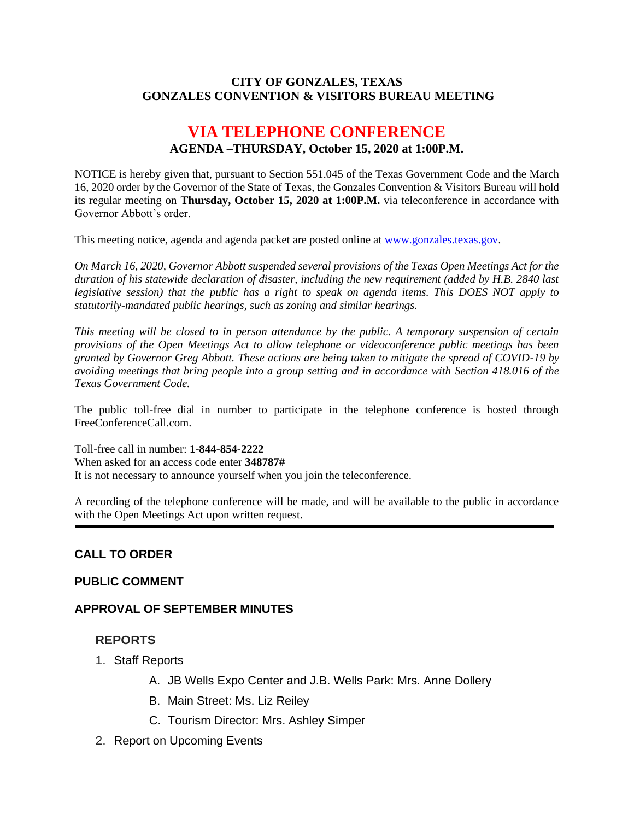#### **CITY OF GONZALES, TEXAS GONZALES CONVENTION & VISITORS BUREAU MEETING**

# **VIA TELEPHONE CONFERENCE AGENDA –THURSDAY, October 15, 2020 at 1:00P.M.**

NOTICE is hereby given that, pursuant to Section 551.045 of the Texas Government Code and the March 16, 2020 order by the Governor of the State of Texas, the Gonzales Convention & Visitors Bureau will hold its regular meeting on **Thursday, October 15, 2020 at 1:00P.M.** via teleconference in accordance with Governor Abbott's order.

This meeting notice, agenda and agenda packet are posted online at [www.gonzales.texas.gov.](http://www.gonzales.texas.gov/)

*On March 16, 2020, Governor Abbott suspended several provisions of the Texas Open Meetings Act for the duration of his statewide declaration of disaster, including the new requirement (added by H.B. 2840 last legislative session) that the public has a right to speak on agenda items. This DOES NOT apply to statutorily-mandated public hearings, such as zoning and similar hearings.* 

*This meeting will be closed to in person attendance by the public. A temporary suspension of certain provisions of the Open Meetings Act to allow telephone or videoconference public meetings has been granted by Governor Greg Abbott. These actions are being taken to mitigate the spread of COVID-19 by avoiding meetings that bring people into a group setting and in accordance with Section 418.016 of the Texas Government Code.*

The public toll-free dial in number to participate in the telephone conference is hosted through FreeConferenceCall.com.

Toll-free call in number: **1-844-854-2222** When asked for an access code enter **348787#**

It is not necessary to announce yourself when you join the teleconference.

A recording of the telephone conference will be made, and will be available to the public in accordance with the Open Meetings Act upon written request.

# **CALL TO ORDER**

# **PUBLIC COMMENT**

# **APPROVAL OF SEPTEMBER MINUTES**

# **REPORTS**

- 1. Staff Reports
	- A. JB Wells Expo Center and J.B. Wells Park: Mrs. Anne Dollery
	- B. Main Street: Ms. Liz Reiley
	- C. Tourism Director: Mrs. Ashley Simper
- 2. Report on Upcoming Events